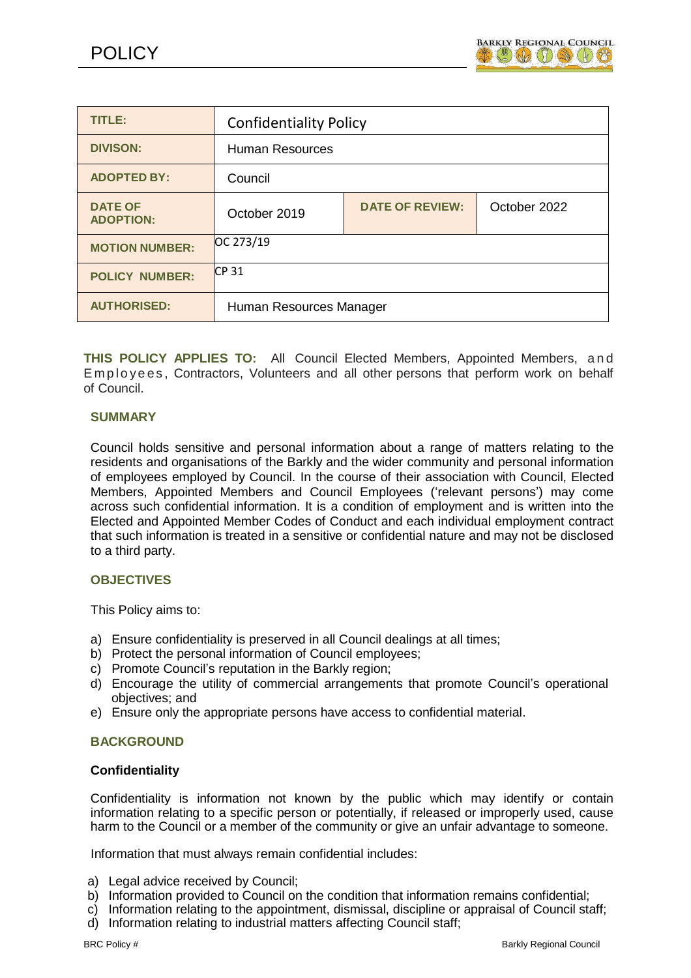

| TITLE:                             | <b>Confidentiality Policy</b> |                        |              |
|------------------------------------|-------------------------------|------------------------|--------------|
| <b>DIVISON:</b>                    | <b>Human Resources</b>        |                        |              |
| <b>ADOPTED BY:</b>                 | Council                       |                        |              |
| <b>DATE OF</b><br><b>ADOPTION:</b> | October 2019                  | <b>DATE OF REVIEW:</b> | October 2022 |
| <b>MOTION NUMBER:</b>              | OC 273/19                     |                        |              |
| <b>POLICY NUMBER:</b>              | CP <sub>31</sub>              |                        |              |
| <b>AUTHORISED:</b>                 | Human Resources Manager       |                        |              |

**THIS POLICY APPLIES TO:** All Council Elected Members, Appointed Members, a n d Employees, Contractors, Volunteers and all other persons that perform work on behalf of Council.

## **SUMMARY**

Council holds sensitive and personal information about a range of matters relating to the residents and organisations of the Barkly and the wider community and personal information of employees employed by Council. In the course of their association with Council, Elected Members, Appointed Members and Council Employees ('relevant persons') may come across such confidential information. It is a condition of employment and is written into the Elected and Appointed Member Codes of Conduct and each individual employment contract that such information is treated in a sensitive or confidential nature and may not be disclosed to a third party.

## **OBJECTIVES**

This Policy aims to:

- a) Ensure confidentiality is preserved in all Council dealings at all times;
- b) Protect the personal information of Council employees;
- c) Promote Council's reputation in the Barkly region;
- d) Encourage the utility of commercial arrangements that promote Council's operational objectives; and
- e) Ensure only the appropriate persons have access to confidential material.

## **BACKGROUND**

## **Confidentiality**

Confidentiality is information not known by the public which may identify or contain information relating to a specific person or potentially, if released or improperly used, cause harm to the Council or a member of the community or give an unfair advantage to someone.

Information that must always remain confidential includes:

- a) Legal advice received by Council;
- b) Information provided to Council on the condition that information remains confidential;
- c) Information relating to the appointment, dismissal, discipline or appraisal of Council staff;
- d) Information relating to industrial matters affecting Council staff;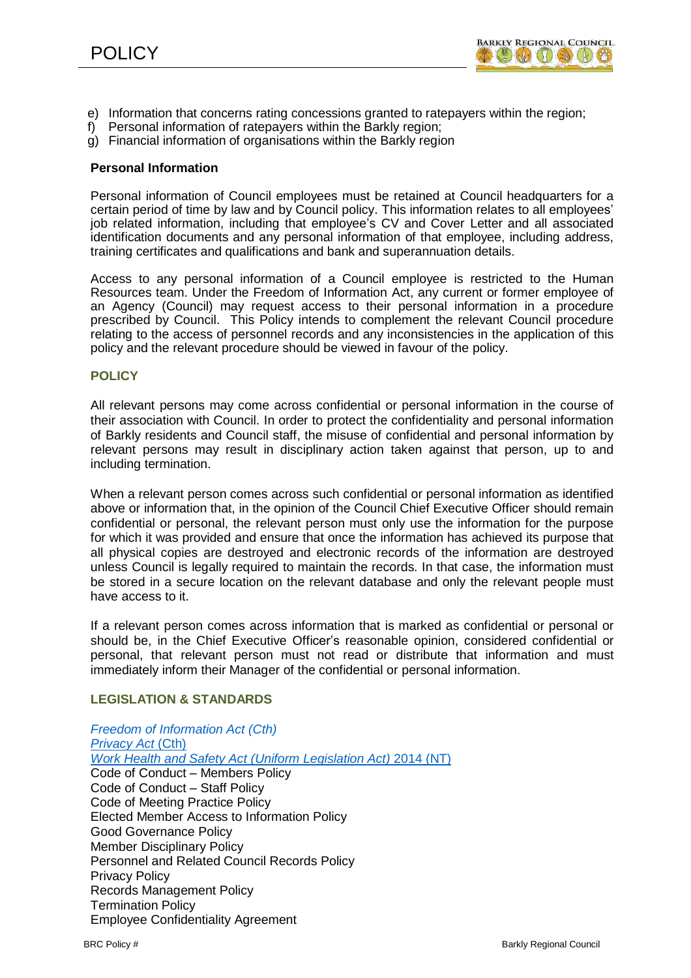

- e) Information that concerns rating concessions granted to ratepayers within the region;
- f) Personal information of ratepayers within the Barkly region;
- g) Financial information of organisations within the Barkly region

#### **Personal Information**

Personal information of Council employees must be retained at Council headquarters for a certain period of time by law and by Council policy. This information relates to all employees' job related information, including that employee's CV and Cover Letter and all associated identification documents and any personal information of that employee, including address, training certificates and qualifications and bank and superannuation details.

Access to any personal information of a Council employee is restricted to the Human Resources team. Under the Freedom of Information Act, any current or former employee of an Agency (Council) may request access to their personal information in a procedure prescribed by Council. This Policy intends to complement the relevant Council procedure relating to the access of personnel records and any inconsistencies in the application of this policy and the relevant procedure should be viewed in favour of the policy.

## **POLICY**

All relevant persons may come across confidential or personal information in the course of their association with Council. In order to protect the confidentiality and personal information of Barkly residents and Council staff, the misuse of confidential and personal information by relevant persons may result in disciplinary action taken against that person, up to and including termination.

When a relevant person comes across such confidential or personal information as identified above or information that, in the opinion of the Council Chief Executive Officer should remain confidential or personal, the relevant person must only use the information for the purpose for which it was provided and ensure that once the information has achieved its purpose that all physical copies are destroyed and electronic records of the information are destroyed unless Council is legally required to maintain the records. In that case, the information must be stored in a secure location on the relevant database and only the relevant people must have access to it.

If a relevant person comes across information that is marked as confidential or personal or should be, in the Chief Executive Officer's reasonable opinion, considered confidential or personal, that relevant person must not read or distribute that information and must immediately inform their Manager of the confidential or personal information.

## **LEGISLATION & STANDARDS**

*Freedom of [Information](http://www.austlii.edu.au/cgi-bin/viewdb/au/legis/cth/consol_act/foia1982222/) Act (Cth)*  **[Privacy Act](http://www.austlii.edu.au/cgi-bin/viewdb/au/legis/cth/consol_act/pa1988108/) (Cth)** *Work [Health and](http://www.austlii.edu.au/cgi-bin/viewdb/au/legis/nt/consol_act/whasula2011497/) Safety Act (Uniform Legislation Act)* 2014 (NT) Code of Conduct – Members Policy Code of Conduct – Staff Policy Code of Meeting Practice Policy Elected Member Access to Information Policy Good Governance Policy Member Disciplinary Policy Personnel and Related Council Records Policy Privacy Policy Records Management Policy Termination Policy Employee Confidentiality Agreement